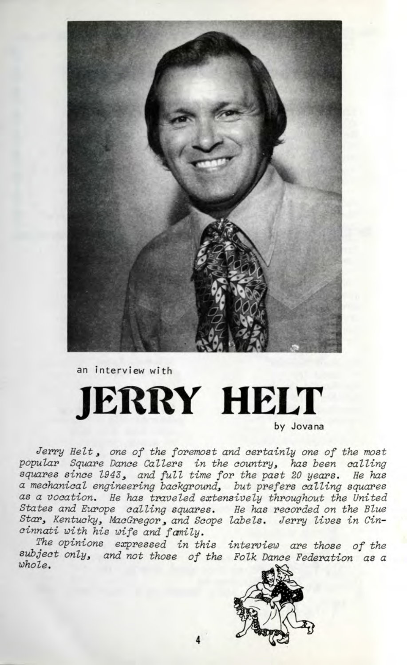

an interview with

# **JERRY HELT**

by Jovana

Jerry Helt, one of the foremost and certainly one of the most popular Square Dance Callers in the country, has been calling squares since 1943, and full time for the past 20 years. He has a mechanical engineering background, but prefers calling squares as a vocation. He has traveled extensively throughout the United States and Europe calling squares. He has recorded on the Blue Star, Kentucky, MacGregor, and Scope labels. Jerry lives in Cincinnati with his wife and family.

The opinions expressed in this interview are those of the subject only, and not those of the Folk Dance Federation as a whole.

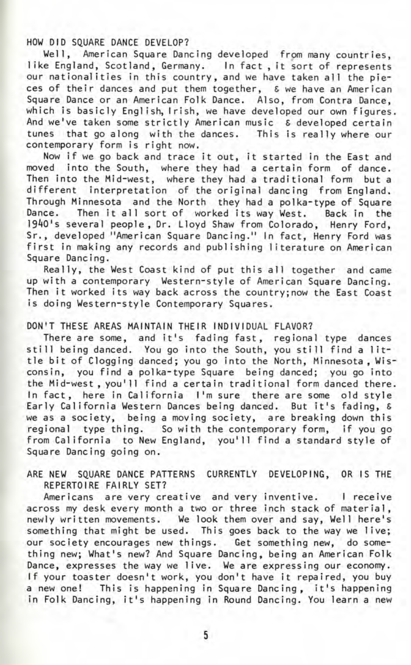HOW DID SQUARE DANCE DEVELOP?

Well, American Square Dancing developed from many countries, like England, Scotland, Germany. In fact, it sort of represents our nationalities in this country, and we have taken all the pieces of their dances and put them together, S we have an American Square Dance or an American Folk Dance. Also, from Contra Dance, which is basicly English, Irish, we have developed our own figures. And we've taken some strictly American music & developed certain tunes that go along with the dances. This is really where our contemporary form is right now.

Now if we go back and trace it out, it started in the East and moved into the South, where they had a certain form of dance. Then into the Mid-west, where they had a traditional form but a different interpretation of the original dancing from England. Through Minnesota and the North they had a polka-type of Square Dance. Then it all sort of worked its way West. Back in the 1940's several people, Dr. Lloyd Shaw from Colorado, Henry Ford, Sr., developed "American Square Dancing." In fact, Henry Ford was first in making any records and publishing literature on American Square Dancing.

Really, the West Coast kind of put this all together and came up with a contemporary Western-style of American Square Dancing. Then it worked its way back across the country;now the East Coast is doing Western-style Contemporary Squares.

#### DON'T THESE AREAS MAINTAIN THEIR INDIVIDUAL FLAVOR?

There are some, and it's fading fast, regional type dances still being danced. You go into the South, you still find a little bit of Clogging danced; you go into the North, Minnesota , Wisconsin, you find a polka-type Square being danced; you go into the Mid-west , you'11 find a certain traditional form danced there. In fact, here in California I'm sure there are some old style Early California Western Dances being danced. But it's fading, S we as a society, being a moving society, are breaking down this regional type thing. So with the contemporary form, if you go from California to New England, you'll find a standard style of Square Dancing going on.

#### ARE NEW SQUARE DANCE PATTERNS CURRENTLY DEVELOPING, OR IS THE REPERTOIRE FAIRLY SET?

Americans are very creative and very inventive. I receive across my desk every month a two or three inch stack of material, newly written movements. We look them over and say, Well here's something that might be used. This goes back to the way we live; our society encourages new things. Get something new, do something new; What's new? And Square Dancing, being an American Folk Dance, expresses the way we live. We are expressing our economy. If your toaster doesn't work, you don't have it repaired, you buy a new one! This is happening in Square Dancing, it's happening in Folk Dancing, it's happening in Round Dancing. You learn a new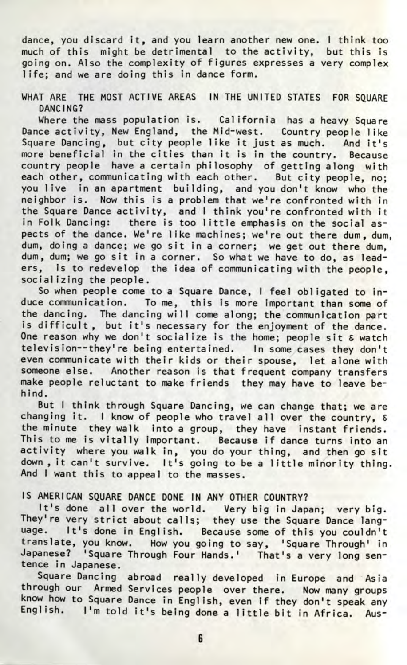dance, you discard it, and you learn another new one. I think too much of this might be detrimental to the activity, but this is going on. Also the complexity of figures expresses a very complex life; and we are doing this in dance form.

WHAT ARE THE MOST ACTIVE AREAS IN THE UNITED STATES FOR SOUARE DANCING?

Where the mass population is. California has a heavy Square Dance activity, New England, the Mid-west. Country people like Square Dancing, but city people like it just as much. And it's more beneficial in the cities than it is in the country. Because country people have a certain philosophy of getting along with each other, communicating with each other. But city people, no; you live in an apartment building, and you don't know who the neighbor is. Now this is a problem that we're confronted with in the Square Dance activity, and I think you're confronted with it in Folk Dancing: there is too little emphasis on the social aspects of the dance. We're like machines; we're out there dum, dum, dum, doing a dance; we go sit in a corner; we get out there dum, dum, dum; we go sit in a corner. So what we have to do, as leaders, is to redevelop the idea of communicating with the people, socializing the people.

So when people come to a Square Dance, I feel obligated to induce communication. To me, this is more important than some of the dancing. The dancing will come along; the communication part is difficult, but it's necessary for the enjoyment of the dance. One reason why we don't socialize is the home; people sit  $\varepsilon$  watch television--they're being entertained. In some cases they don't even communicate with their kids or their spouse, let alone with someone else. Another reason is that frequent company transfers make people reluctant to make friends they may have to leave behind.

But I think through Square Dancing, we can change that; we are changing it. I know of people who travel all over the country, & the minute they walk into a group, they have instant friends. This to me is vitally important. Because if dance turns into an activity where you walk in, you do your thing, and then go sit down, it can't survive. It's going to be a little minority thing. And I want this to appeal to the masses.

### IS AMERICAN SQUARE DANCE DONE IN ANY OTHER COUNTRY?

t's done all over the world. Very big in Japan; very big. They're very strict about calls; they use the Square Dance language. It's done in English. Because some of this you couldn't translate, you know. How you going to say, 'Square Through' in Japanese? 'Square Through Four Hands.' That's a very long sentence in Japanese.

Square Dancing abroad really developed in Europe and Asia through our Armed Services people over there. Now many groups know how to Square Dance in English, even if they don't speak any English. I'm told it's being done a little bit in Africa. Aus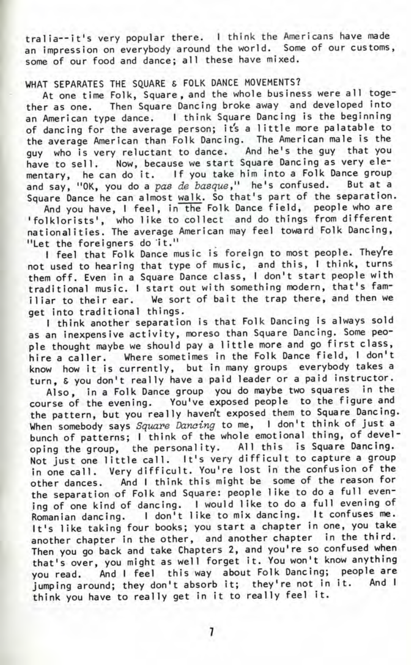tralia--it's very popular there. I think the Americans have made an impression on everybody around the world. Some of our customs, some of our food and dance; all these have mixed.

## WHAT SEPARATES THE SOUARE & FOLK DANCE MOVEMENTS?

At one time Folk, Square, and the whole business were all together as one. Then Square Dancing broke away and developed into an American type dance. I think Square Dancing is the beginning of dancing for the average person; it's a little more palatable to the average American than Folk Dancing. The American male is the guy who is very reluctant to dance. And he's the guy that you have to sell. Now, because we start Square Dancing as very elementary, he can do it. If you take him into a Folk Dance group nd say, "OK, you do a pas de basque," he's confused. But at a Square Dance he can almost walk. So that's part of the separation.

And you have, I feel, in the Folk Dance field, people who are <sup>1</sup> folklorists', who like to collect and do things from different nationalities. The average American may feel toward Folk Dancing, "Let the foreigners do 'it."

I feel that Folk Dance music is foreign to most people. They're not used to hearing that type of music, and this, I think, turns them off. Even in a Square Dance class, I don't start people with traditional music. I start out with something modern, that's familiar to their ear. We sort of bait the trap there, and then we get into traditional things.

I think another separation is that Folk Dancing is always sold as an inexpensive activity, moreso than Square Dancing. Some people thought maybe we should pay a little more and go first class, hire a caller. Where sometimes in the Folk Dance field, I don't know how it is currently, but in many groups everybody takes a turn, & you don't really have a paid leader or a paid instructor.

Also, in a Folk Dance group you do maybe two squares in the course of the evening. You've exposed people to the figure and the pattern, but you really haven't exposed them to Square Dancing. When somebody says Square Dancing to me, I don't think of just a bunch of patterns; I think of the whole emotional thing, of developing the group, the personality. All this is Square Dancing. Not just one little call. It's very difficult to capture a group in one call. Very difficult. You're lost in the confusion of the other dances. And I think this might be some of the reason for the separation of Folk and Square: people like to do a full evening of one kind of dancing. I would like to do a full evening of Romanian dancing. I don't like to mix dancing. It confuses me. It's like taking four books; you start a chapter in one, you take another chapter in the other, and another chapter in the third. Then you go back and take Chapters 2, and you're so confused when that's over, you might as well forget it. You won't know anything you read. And I feel this way about Folk Dancing; people are jumping around; they don't absorb it; they're not in it. And I think you have to really get in it to really feel it.